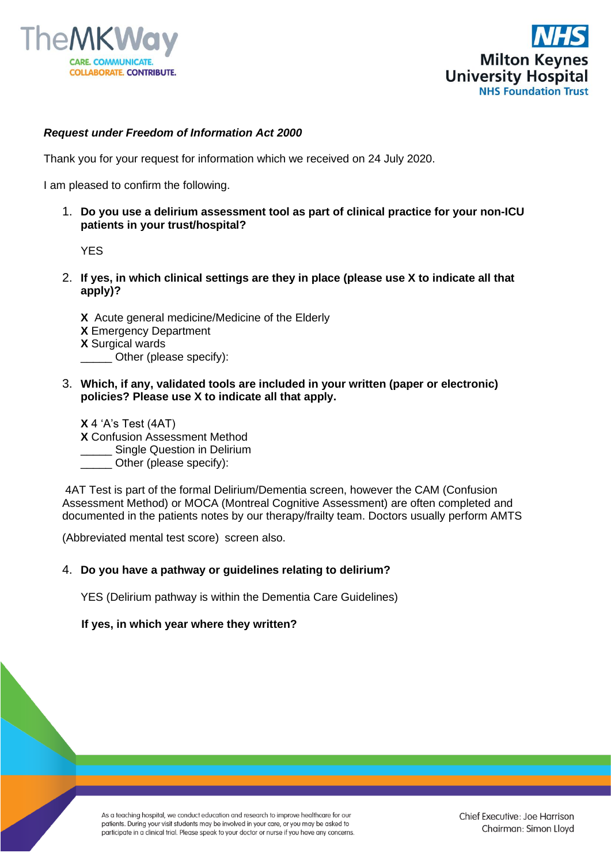



## *Request under Freedom of Information Act 2000*

Thank you for your request for information which we received on 24 July 2020.

I am pleased to confirm the following.

1. **Do you use a delirium assessment tool as part of clinical practice for your non-ICU patients in your trust/hospital?** 

YES

2. **If yes, in which clinical settings are they in place (please use X to indicate all that apply)?**

**X** Acute general medicine/Medicine of the Elderly **X** Emergency Department **X** Surgical wards Other (please specify):

3. **Which, if any, validated tools are included in your written (paper or electronic) policies? Please use X to indicate all that apply.**

**X** 4 'A's Test (4AT)

- **X** Confusion Assessment Method
- \_\_\_\_\_ Single Question in Delirium
- Other (please specify):

4AT Test is part of the formal Delirium/Dementia screen, however the CAM (Confusion Assessment Method) or MOCA (Montreal Cognitive Assessment) are often completed and documented in the patients notes by our therapy/frailty team. Doctors usually perform AMTS

(Abbreviated mental test score) screen also.

## 4. **Do you have a pathway or guidelines relating to delirium?**

YES (Delirium pathway is within the Dementia Care Guidelines)

## **If yes, in which year where they written?**

As a teaching hospital, we conduct education and research to improve healthcare for our patients. During your visit students may be involved in your care, or you may be asked to participate in a clinical trial. Please speak to your doctor or nurse if you have any concerns.